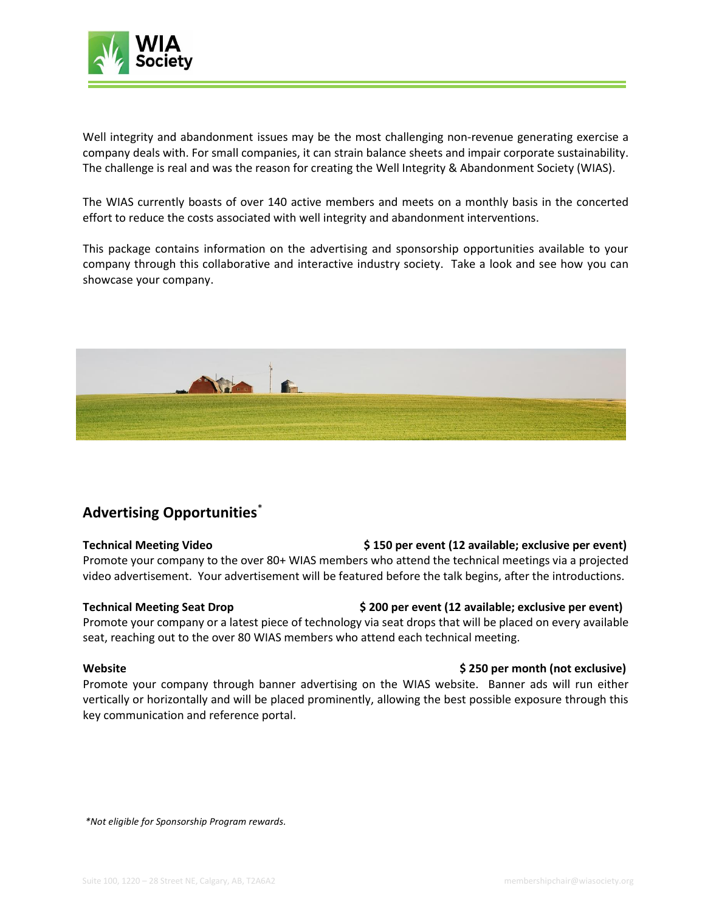

Well integrity and abandonment issues may be the most challenging non-revenue generating exercise a company deals with. For small companies, it can strain balance sheets and impair corporate sustainability. The challenge is real and was the reason for creating the Well Integrity & Abandonment Society (WIAS).

The WIAS currently boasts of over 140 active members and meets on a monthly basis in the concerted effort to reduce the costs associated with well integrity and abandonment interventions.

This package contains information on the advertising and sponsorship opportunities available to your company through this collaborative and interactive industry society. Take a look and see how you can showcase your company.



## **Advertising Opportunities**\*

**Technical Meeting Video \$ 150 per event (12 available; exclusive per event)** Promote your company to the over 80+ WIAS members who attend the technical meetings via a projected video advertisement. Your advertisement will be featured before the talk begins, after the introductions.

### **Technical Meeting Seat Drop \$ 200 per event (12 available; exclusive per event)**

Promote your company or a latest piece of technology via seat drops that will be placed on every available seat, reaching out to the over 80 WIAS members who attend each technical meeting.

Promote your company through banner advertising on the WIAS website. Banner ads will run either vertically or horizontally and will be placed prominently, allowing the best possible exposure through this key communication and reference portal.

**Website \$ 250 per month (not exclusive)**

*\*Not eligible for Sponsorship Program rewards.*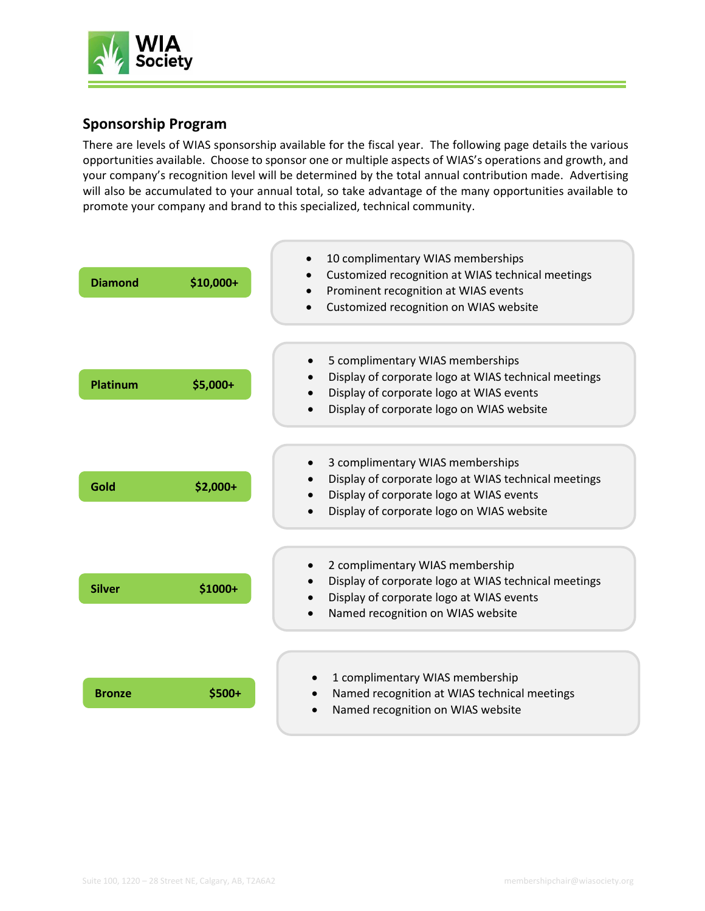

## **Sponsorship Program**

There are levels of WIAS sponsorship available for the fiscal year. The following page details the various opportunities available. Choose to sponsor one or multiple aspects of WIAS's operations and growth, and your company's recognition level will be determined by the total annual contribution made. Advertising will also be accumulated to your annual total, so take advantage of the many opportunities available to promote your company and brand to this specialized, technical community.

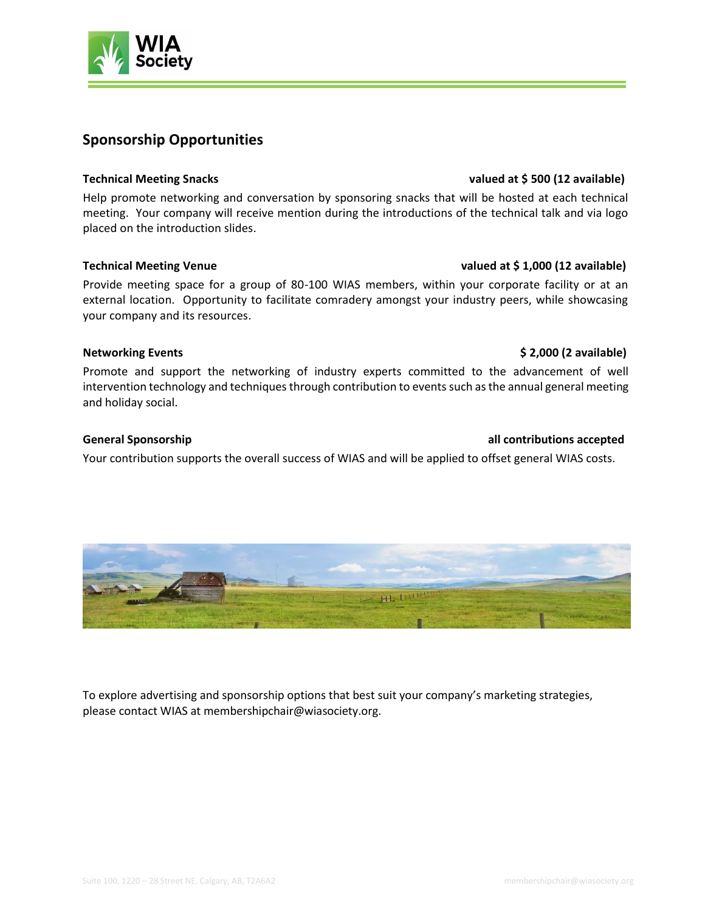

## **Sponsorship Opportunities**

Help promote networking and conversation by sponsoring snacks that will be hosted at each technical meeting. Your company will receive mention during the introductions of the technical talk and via logo placed on the introduction slides.

Provide meeting space for a group of 80-100 WIAS members, within your corporate facility or at an external location. Opportunity to facilitate comradery amongst your industry peers, while showcasing your company and its resources.

### **Networking Events by a 2,000 (2** available) **8 2,000 (2** available)

Promote and support the networking of industry experts committed to the advancement of well intervention technology and techniques through contribution to events such as the annual general meeting and holiday social.

### **General Sponsorship all contributions accepted**

Your contribution supports the overall success of WIAS and will be applied to offset general WIAS costs.

H. Lure

To explore advertising and sponsorship options that best suit your company's marketing strategies, please contact WIAS at [membershipchair@wiasociety.org.](mailto:admin@csgm.ca)



### **Technical Meeting Snacks valued at \$ 500 (12 available)**

### **Technical Meeting Venue valued at \$ 1,000 (12 available)**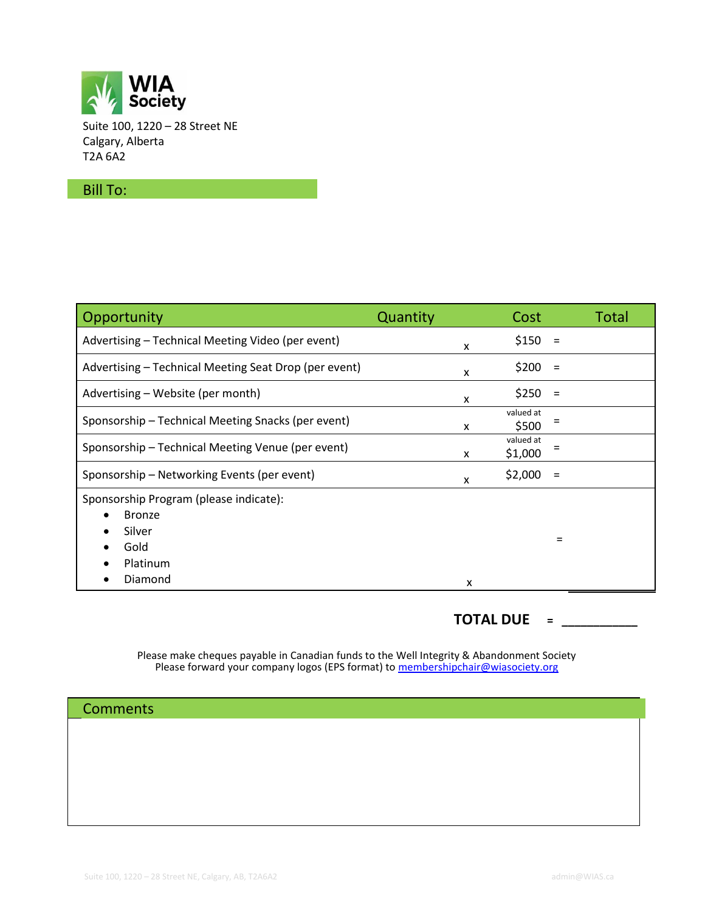

Suite 100, 1220 – 28 Street NE Calgary, Alberta T2A 6A2

### Bill To:

| Opportunity                                           | Quantity | Cost                 | <b>Total</b> |
|-------------------------------------------------------|----------|----------------------|--------------|
| Advertising - Technical Meeting Video (per event)     | X        | \$150                |              |
| Advertising - Technical Meeting Seat Drop (per event) | X        | \$200                | $\equiv$     |
| Advertising – Website (per month)                     | X        | \$250                | $=$          |
| Sponsorship - Technical Meeting Snacks (per event)    | X        | valued at<br>\$500   |              |
| Sponsorship - Technical Meeting Venue (per event)     | X        | valued at<br>\$1,000 |              |
| Sponsorship - Networking Events (per event)           | x        | \$2,000              |              |
| Sponsorship Program (please indicate):                |          |                      |              |
| <b>Bronze</b>                                         |          |                      |              |
| Silver                                                |          |                      | $\equiv$     |
| Gold                                                  |          |                      |              |
| Platinum                                              |          |                      |              |
| Diamond                                               | x        |                      |              |

## **TOTAL DUE = \_\_\_\_\_\_\_\_\_\_\_\_**

Please make cheques payable in Canadian funds to the Well Integrity & Abandonment Society Please forward your company logos (EPS format) to **membershipchair@wiasociety.org** 

**Comments**